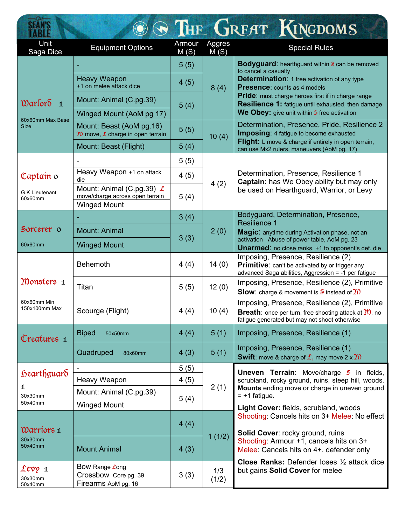| <b>SEAN'S</b>                                                      |                                                                                            |                |                | THE GREAT KINGDOMS                                                                                                                                                                                   |
|--------------------------------------------------------------------|--------------------------------------------------------------------------------------------|----------------|----------------|------------------------------------------------------------------------------------------------------------------------------------------------------------------------------------------------------|
| Unit<br>Saga Dice                                                  | <b>Equipment Options</b>                                                                   | Armour<br>M(S) | Aggres<br>M(S) | <b>Special Rules</b>                                                                                                                                                                                 |
| $\mathfrak{w}$ arlor $\delta$ 1<br>60x60mm Max Base<br><b>Size</b> |                                                                                            | 5(5)           | 8(4)           | <b>Bodyguard:</b> hearthguard within 5 can be removed<br>to cancel a casualty                                                                                                                        |
|                                                                    | <b>Heavy Weapon</b><br>+1 on melee attack dice                                             | 4(5)           |                | <b>Determination: 1 free activation of any type</b><br><b>Presence:</b> counts as 4 models                                                                                                           |
|                                                                    | Mount: Animal (C.pg.39)                                                                    | 5(4)           |                | <b>Pride:</b> must charge heroes first if in charge range<br>Resilience 1: fatigue until exhausted, then damage                                                                                      |
|                                                                    | Winged Mount (AoM pg 17)                                                                   |                |                | We Obey: give unit within 5 free activation                                                                                                                                                          |
|                                                                    | Mount: Beast (AoM pg.16)<br>20 move, $\angle$ charge in open terrain                       | 5(5)           | 10(4)          | Determination, Presence, Pride, Resilience 2<br><b>Imposing:</b> 4 fatigue to become exhausted<br>Flight: L move & charge if entirely in open terrain,<br>can use Mx2 rulers, maneuvers (AoM pg. 17) |
|                                                                    | Mount: Beast (Flight)                                                                      | 5(4)           |                |                                                                                                                                                                                                      |
| Captain 0<br>G.K Lieutenant<br>60x60mm                             |                                                                                            | 5(5)           | 4(2)           | Determination, Presence, Resilience 1<br>Captain: has We Obey ability but may only<br>be used on Hearthguard, Warrior, or Levy                                                                       |
|                                                                    | Heavy Weapon +1 on attack<br>die                                                           | 4(5)           |                |                                                                                                                                                                                                      |
|                                                                    | Mount: Animal (C.pg.39) $\angle$<br>move/charge across open terrain<br><b>Winged Mount</b> | 5(4)           |                |                                                                                                                                                                                                      |
|                                                                    |                                                                                            | 3(4)           |                | Bodyguard, Determination, Presence,<br><b>Resilience 1</b>                                                                                                                                           |
| Sorcerer o                                                         | <b>Mount: Animal</b>                                                                       | 3(3)           | 2(0)           | Magic: anytime during Activation phase, not an<br>activation Abuse of power table, AoM pg. 23                                                                                                        |
| 60x60mm                                                            | <b>Winged Mount</b>                                                                        |                |                | <b>Unarmed:</b> no close ranks, +1 to opponent's def. die                                                                                                                                            |
|                                                                    | Behemoth                                                                                   | 4(4)           | 14(0)          | Imposing, Presence, Resilience (2)<br>Primitive: can't be activated by or trigger any<br>advanced Saga abilities, Aggression = -1 per fatigue                                                        |
| Monsters 1<br>60x60mm Min<br>150x100mm Max                         | Titan                                                                                      | 5(5)           | 12(0)          | Imposing, Presence, Resilience (2), Primitive<br><b>Slow:</b> charge & movement is $\frac{5}{2}$ instead of 20                                                                                       |
|                                                                    | Scourge (Flight)                                                                           | 4(4)           | 10(4)          | Imposing, Presence, Resilience (2), Primitive<br><b>Breath:</b> once per turn, free shooting attack at $\gamma$ , no<br>fatigue generated but may not shoot otherwise                                |
| Creatures 1                                                        | <b>Biped</b><br>50x50mm                                                                    | 4(4)           | 5(1)           | Imposing, Presence, Resilience (1)                                                                                                                                                                   |
|                                                                    | Quadruped<br>80x60mm                                                                       | 4(3)           | 5(1)           | Imposing, Presence, Resilience (1)<br><b>Swift:</b> move & charge of $\hat{\mathcal{L}}$ , may move 2 x 20                                                                                           |
| <i>foearthguard</i><br>1<br>30x30mm<br>50x40mm                     |                                                                                            | 5(5)           | 2(1)           | <b>Uneven Terrain:</b> Move/charge $\frac{1}{2}$ in fields,                                                                                                                                          |
|                                                                    | Heavy Weapon                                                                               | 4(5)           |                | scrubland, rocky ground, ruins, steep hill, woods.<br>Mounts ending move or charge in uneven ground<br>$= +1$ fatigue.                                                                               |
|                                                                    | Mount: Animal (C.pg.39)                                                                    | 5(4)           |                |                                                                                                                                                                                                      |
|                                                                    | <b>Winged Mount</b>                                                                        |                |                | Light Cover: fields, scrubland, woods<br>Shooting: Cancels hits on 3+ Melee: No effect                                                                                                               |
| Warriors 1<br>30x30mm<br>50x40mm                                   |                                                                                            | 4(4)           | 1(1/2)         | Solid Cover: rocky ground, ruins                                                                                                                                                                     |
|                                                                    | <b>Mount Animal</b>                                                                        | 4(3)           |                | Shooting: Armour +1, cancels hits on 3+<br>Melee: Cancels hits on 4+, defender only                                                                                                                  |
| Levy 1<br>30x30mm<br>50x40mm                                       | Bow Range Long<br>Crossbow Core pg. 39<br>Firearms AoM pg. 16                              | 3(3)           | 1/3<br>(1/2)   | <b>Close Ranks:</b> Defender loses 1/2 attack dice<br>but gains Solid Cover for melee                                                                                                                |